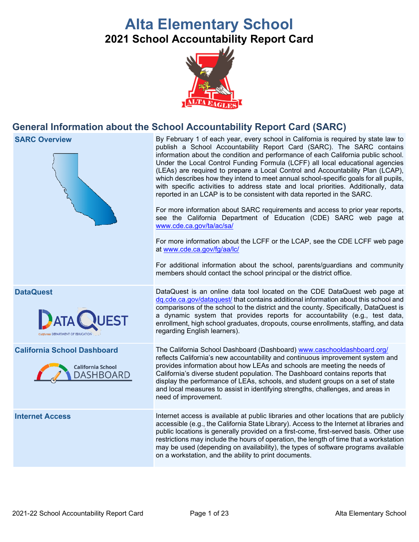# **Alta Elementary School 2021 School Accountability Report Card**



# **General Information about the School Accountability Report Card (SARC)**



**SARC Overview** By February 1 of each year, every school in California is required by state law to publish a School Accountability Report Card (SARC). The SARC contains information about the condition and performance of each California public school. Under the Local Control Funding Formula (LCFF) all local educational agencies (LEAs) are required to prepare a Local Control and Accountability Plan (LCAP), which describes how they intend to meet annual school-specific goals for all pupils, with specific activities to address state and local priorities. Additionally, data reported in an LCAP is to be consistent with data reported in the SARC.

> For more information about SARC requirements and access to prior year reports, see the California Department of Education (CDE) SARC web page at [www.cde.ca.gov/ta/ac/sa/](https://www.cde.ca.gov/ta/ac/sa/)

> For more information about the LCFF or the LCAP, see the CDE LCFF web page at [www.cde.ca.gov/fg/aa/lc/](https://www.cde.ca.gov/fg/aa/lc/)

> For additional information about the school, parents/guardians and community members should contact the school principal or the district office.

**DataQuest** DataQuest is an online data tool located on the CDE DataQuest web page at [dq.cde.ca.gov/dataquest/](https://dq.cde.ca.gov/dataquest/) that contains additional information about this school and comparisons of the school to the district and the county. Specifically, DataQuest is a dynamic system that provides reports for accountability (e.g., test data, enrollment, high school graduates, dropouts, course enrollments, staffing, and data regarding English learners).

**California School Dashboard** The California School Dashboard (Dashboard) [www.caschooldashboard.org/](http://www.caschooldashboard.org/) reflects California's new accountability and continuous improvement system and provides information about how LEAs and schools are meeting the needs of California's diverse student population. The Dashboard contains reports that display the performance of LEAs, schools, and student groups on a set of state and local measures to assist in identifying strengths, challenges, and areas in need of improvement.

**Internet Access** Internet access is available at public libraries and other locations that are publicly accessible (e.g., the California State Library). Access to the Internet at libraries and public locations is generally provided on a first-come, first-served basis. Other use restrictions may include the hours of operation, the length of time that a workstation may be used (depending on availability), the types of software programs available on a workstation, and the ability to print documents.



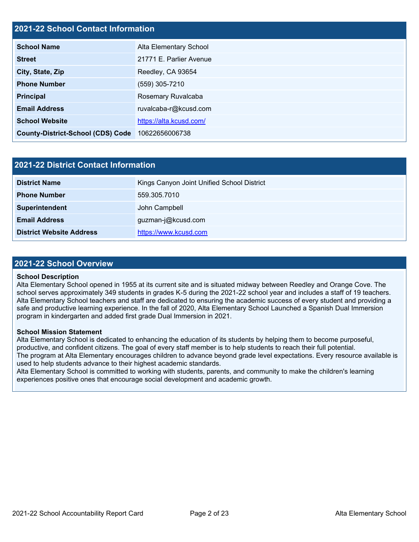### **2021-22 School Contact Information**

| <b>School Name</b>                       | Alta Elementary School  |
|------------------------------------------|-------------------------|
| <b>Street</b>                            | 21771 E. Parlier Avenue |
| City, State, Zip                         | Reedley, CA 93654       |
| <b>Phone Number</b>                      | (559) 305-7210          |
| <b>Principal</b>                         | Rosemary Ruvalcaba      |
| <b>Email Address</b>                     | ruvalcaba-r@kcusd.com   |
| <b>School Website</b>                    | https://alta.kcusd.com/ |
| <b>County-District-School (CDS) Code</b> | 10622656006738          |

| <b>2021-22 District Contact Information</b> |                                            |  |  |  |
|---------------------------------------------|--------------------------------------------|--|--|--|
| <b>District Name</b>                        | Kings Canyon Joint Unified School District |  |  |  |
| <b>Phone Number</b>                         | 559.305.7010                               |  |  |  |
| Superintendent                              | John Campbell                              |  |  |  |
| <b>Email Address</b>                        | guzman-j@kcusd.com                         |  |  |  |
| <b>District Website Address</b>             | https://www.kcusd.com                      |  |  |  |

### **2021-22 School Overview**

### **School Description**

Alta Elementary School opened in 1955 at its current site and is situated midway between Reedley and Orange Cove. The school serves approximately 349 students in grades K-5 during the 2021-22 school year and includes a staff of 19 teachers. Alta Elementary School teachers and staff are dedicated to ensuring the academic success of every student and providing a safe and productive learning experience. In the fall of 2020, Alta Elementary School Launched a Spanish Dual Immersion program in kindergarten and added first grade Dual Immersion in 2021.

### **School Mission Statement**

Alta Elementary School is dedicated to enhancing the education of its students by helping them to become purposeful, productive, and confident citizens. The goal of every staff member is to help students to reach their full potential. The program at Alta Elementary encourages children to advance beyond grade level expectations. Every resource available is used to help students advance to their highest academic standards.

Alta Elementary School is committed to working with students, parents, and community to make the children's learning experiences positive ones that encourage social development and academic growth.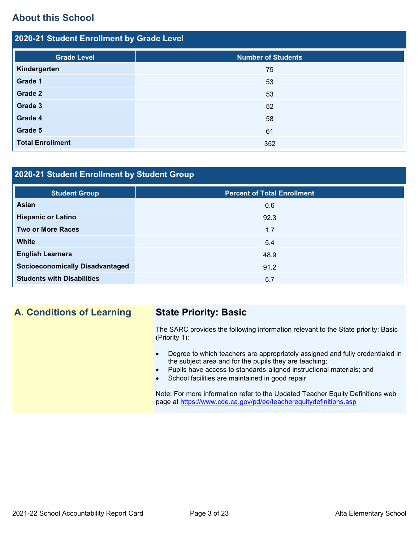# **About this School**

| 2020-21 Student Enrollment by Grade Level |                           |  |  |  |  |
|-------------------------------------------|---------------------------|--|--|--|--|
| <b>Grade Level</b>                        | <b>Number of Students</b> |  |  |  |  |
| Kindergarten                              | 75                        |  |  |  |  |
| Grade 1                                   | 53                        |  |  |  |  |
| Grade 2                                   | 53                        |  |  |  |  |
| Grade 3                                   | 52                        |  |  |  |  |
| Grade 4                                   | 58                        |  |  |  |  |
| Grade 5                                   | 61                        |  |  |  |  |
| <b>Total Enrollment</b>                   | 352                       |  |  |  |  |

## **2020-21 Student Enrollment by Student Group**

| <b>Student Group</b>                   | <b>Percent of Total Enrollment</b> |
|----------------------------------------|------------------------------------|
| Asian                                  | 0.6                                |
| <b>Hispanic or Latino</b>              | 92.3                               |
| <b>Two or More Races</b>               | 1.7                                |
| <b>White</b>                           | 5.4                                |
| <b>English Learners</b>                | 48.9                               |
| <b>Socioeconomically Disadvantaged</b> | 91.2                               |
| <b>Students with Disabilities</b>      | 5.7                                |

# **A. Conditions of Learning State Priority: Basic**

The SARC provides the following information relevant to the State priority: Basic (Priority 1):

- Degree to which teachers are appropriately assigned and fully credentialed in the subject area and for the pupils they are teaching;
	- Pupils have access to standards-aligned instructional materials; and
- School facilities are maintained in good repair

Note: For more information refer to the Updated Teacher Equity Definitions web page at<https://www.cde.ca.gov/pd/ee/teacherequitydefinitions.asp>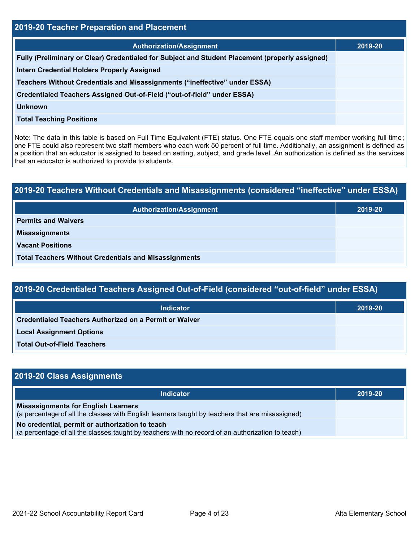| 2019-20 Teacher Preparation and Placement                                                       |         |  |  |  |
|-------------------------------------------------------------------------------------------------|---------|--|--|--|
| <b>Authorization/Assignment</b>                                                                 | 2019-20 |  |  |  |
| Fully (Preliminary or Clear) Credentialed for Subject and Student Placement (properly assigned) |         |  |  |  |
| <b>Intern Credential Holders Properly Assigned</b>                                              |         |  |  |  |
| Teachers Without Credentials and Misassignments ("ineffective" under ESSA)                      |         |  |  |  |
| Credentialed Teachers Assigned Out-of-Field ("out-of-field" under ESSA)                         |         |  |  |  |
| <b>Unknown</b>                                                                                  |         |  |  |  |
| <b>Total Teaching Positions</b>                                                                 |         |  |  |  |

Note: The data in this table is based on Full Time Equivalent (FTE) status. One FTE equals one staff member working full time; one FTE could also represent two staff members who each work 50 percent of full time. Additionally, an assignment is defined as a position that an educator is assigned to based on setting, subject, and grade level. An authorization is defined as the services that an educator is authorized to provide to students.

# **2019-20 Teachers Without Credentials and Misassignments (considered "ineffective" under ESSA) Authorization/Assignment 2019-20 Permits and Waivers Misassignments Vacant Positions Total Teachers Without Credentials and Misassignments**

| 2019-20 Credentialed Teachers Assigned Out-of-Field (considered "out-of-field" under ESSA) |         |  |  |  |
|--------------------------------------------------------------------------------------------|---------|--|--|--|
| <b>Indicator</b>                                                                           | 2019-20 |  |  |  |
| Credentialed Teachers Authorized on a Permit or Waiver                                     |         |  |  |  |
| <b>Local Assignment Options</b>                                                            |         |  |  |  |
| <b>Total Out-of-Field Teachers</b>                                                         |         |  |  |  |

| 2019-20 Class Assignments                                                                                                                           |         |
|-----------------------------------------------------------------------------------------------------------------------------------------------------|---------|
| <b>Indicator</b>                                                                                                                                    | 2019-20 |
| <b>Misassignments for English Learners</b><br>(a percentage of all the classes with English learners taught by teachers that are misassigned)       |         |
| No credential, permit or authorization to teach<br>(a percentage of all the classes taught by teachers with no record of an authorization to teach) |         |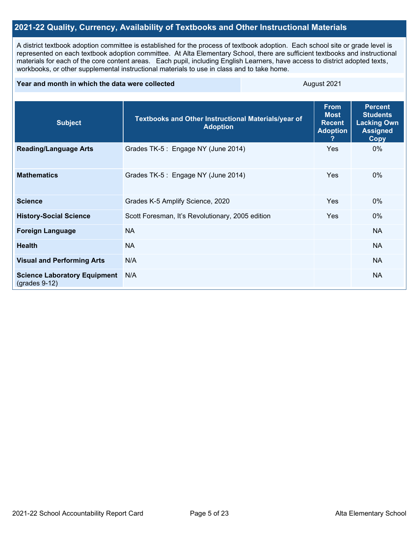### **2021-22 Quality, Currency, Availability of Textbooks and Other Instructional Materials**

A district textbook adoption committee is established for the process of textbook adoption. Each school site or grade level is represented on each textbook adoption committee. At Alta Elementary School, there are sufficient textbooks and instructional materials for each of the core content areas. Each pupil, including English Learners, have access to district adopted texts, workbooks, or other supplemental instructional materials to use in class and to take home.

### **Year and month in which the data were collected** August 2021

| <b>Subject</b>                                         | Textbooks and Other Instructional Materials/year of<br><b>Adoption</b> | <b>From</b><br><b>Most</b><br><b>Recent</b><br><b>Adoption</b> | <b>Percent</b><br><b>Students</b><br><b>Lacking Own</b><br><b>Assigned</b><br>Copy |
|--------------------------------------------------------|------------------------------------------------------------------------|----------------------------------------------------------------|------------------------------------------------------------------------------------|
| <b>Reading/Language Arts</b>                           | Grades TK-5 : Engage NY (June 2014)                                    | <b>Yes</b>                                                     | $0\%$                                                                              |
| <b>Mathematics</b>                                     | Grades TK-5 : Engage NY (June 2014)                                    | <b>Yes</b>                                                     | $0\%$                                                                              |
| <b>Science</b>                                         | Grades K-5 Amplify Science, 2020                                       | <b>Yes</b>                                                     | 0%                                                                                 |
| <b>History-Social Science</b>                          | Scott Foresman, It's Revolutionary, 2005 edition                       | <b>Yes</b>                                                     | $0\%$                                                                              |
| <b>Foreign Language</b>                                | <b>NA</b>                                                              |                                                                | <b>NA</b>                                                                          |
| <b>Health</b>                                          | <b>NA</b>                                                              |                                                                | <b>NA</b>                                                                          |
| <b>Visual and Performing Arts</b>                      | N/A                                                                    |                                                                | <b>NA</b>                                                                          |
| <b>Science Laboratory Equipment</b><br>$(grades 9-12)$ | N/A                                                                    |                                                                | <b>NA</b>                                                                          |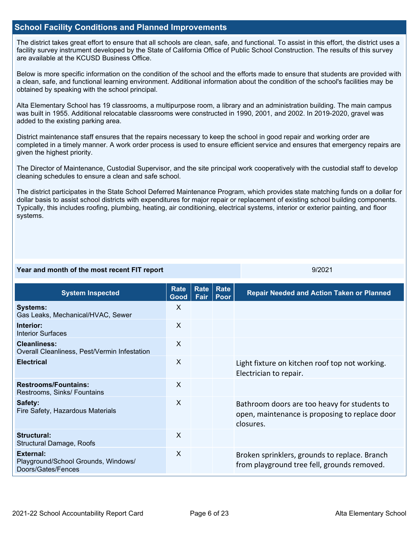### **School Facility Conditions and Planned Improvements**

The district takes great effort to ensure that all schools are clean, safe, and functional. To assist in this effort, the district uses a facility survey instrument developed by the State of California Office of Public School Construction. The results of this survey are available at the KCUSD Business Office.

Below is more specific information on the condition of the school and the efforts made to ensure that students are provided with a clean, safe, and functional learning environment. Additional information about the condition of the school's facilities may be obtained by speaking with the school principal.

Alta Elementary School has 19 classrooms, a multipurpose room, a library and an administration building. The main campus was built in 1955. Additional relocatable classrooms were constructed in 1990, 2001, and 2002. In 2019-2020, gravel was added to the existing parking area.

District maintenance staff ensures that the repairs necessary to keep the school in good repair and working order are completed in a timely manner. A work order process is used to ensure efficient service and ensures that emergency repairs are given the highest priority.

The Director of Maintenance, Custodial Supervisor, and the site principal work cooperatively with the custodial staff to develop cleaning schedules to ensure a clean and safe school.

The district participates in the State School Deferred Maintenance Program, which provides state matching funds on a dollar for dollar basis to assist school districts with expenditures for major repair or replacement of existing school building components. Typically, this includes roofing, plumbing, heating, air conditioning, electrical systems, interior or exterior painting, and floor systems.

### **Year and month of the most recent FIT report** All Allen All Allen All Allen All Allen All Allen All All All All

**System Inspected Rate Good Rate Fair Rate Poor Repair Needed and Action Taken or Planned Systems:** Gas Leaks, Mechanical/HVAC, Sewer X **Interior:** Interior Surfaces X **Cleanliness:** Overall Cleanliness, Pest/Vermin Infestation X **Electrical** Electrical **Electrical** Manual Constanting Constanting X Light fixture on kitchen roof top not working. Electrician to repair. **Restrooms/Fountains:** Restrooms, Sinks/ Fountains X **Safety:** Fire Safety, Hazardous Materials X Bathroom doors are too heavy for students to open, maintenance is proposing to replace door closures. **Structural:** Structural Damage, Roofs X **External:** Playground/School Grounds, Windows/ Doors/Gates/Fences X Broken sprinklers, grounds to replace. Branch from playground tree fell, grounds removed.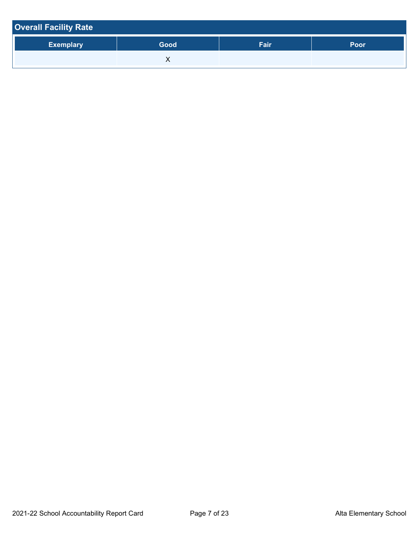| <b>Overall Facility Rate</b> |      |      |             |
|------------------------------|------|------|-------------|
| <b>Exemplary</b>             | Good | Fair | <b>Poor</b> |
|                              |      |      |             |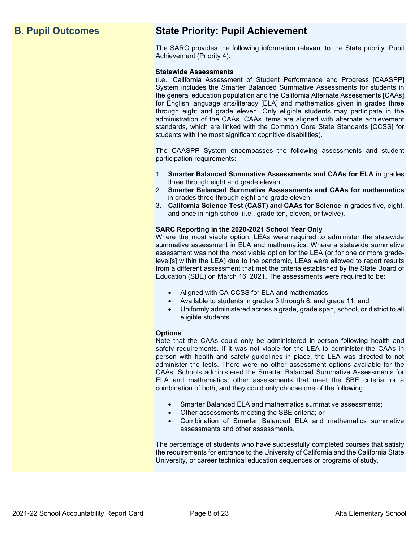# **B. Pupil Outcomes State Priority: Pupil Achievement**

The SARC provides the following information relevant to the State priority: Pupil Achievement (Priority 4):

### **Statewide Assessments**

(i.e., California Assessment of Student Performance and Progress [CAASPP] System includes the Smarter Balanced Summative Assessments for students in the general education population and the California Alternate Assessments [CAAs] for English language arts/literacy [ELA] and mathematics given in grades three through eight and grade eleven. Only eligible students may participate in the administration of the CAAs. CAAs items are aligned with alternate achievement standards, which are linked with the Common Core State Standards [CCSS] for students with the most significant cognitive disabilities).

The CAASPP System encompasses the following assessments and student participation requirements:

- 1. **Smarter Balanced Summative Assessments and CAAs for ELA** in grades three through eight and grade eleven.
- 2. **Smarter Balanced Summative Assessments and CAAs for mathematics** in grades three through eight and grade eleven.
- 3. **California Science Test (CAST) and CAAs for Science** in grades five, eight, and once in high school (i.e., grade ten, eleven, or twelve).

### **SARC Reporting in the 2020-2021 School Year Only**

Where the most viable option, LEAs were required to administer the statewide summative assessment in ELA and mathematics. Where a statewide summative assessment was not the most viable option for the LEA (or for one or more gradelevel[s] within the LEA) due to the pandemic, LEAs were allowed to report results from a different assessment that met the criteria established by the State Board of Education (SBE) on March 16, 2021. The assessments were required to be:

- Aligned with CA CCSS for ELA and mathematics;
- Available to students in grades 3 through 8, and grade 11; and
- Uniformly administered across a grade, grade span, school, or district to all eligible students.

### **Options**

Note that the CAAs could only be administered in-person following health and safety requirements. If it was not viable for the LEA to administer the CAAs in person with health and safety guidelines in place, the LEA was directed to not administer the tests. There were no other assessment options available for the CAAs. Schools administered the Smarter Balanced Summative Assessments for ELA and mathematics, other assessments that meet the SBE criteria, or a combination of both, and they could only choose one of the following:

- Smarter Balanced ELA and mathematics summative assessments;
- Other assessments meeting the SBE criteria; or
- Combination of Smarter Balanced ELA and mathematics summative assessments and other assessments.

The percentage of students who have successfully completed courses that satisfy the requirements for entrance to the University of California and the California State University, or career technical education sequences or programs of study.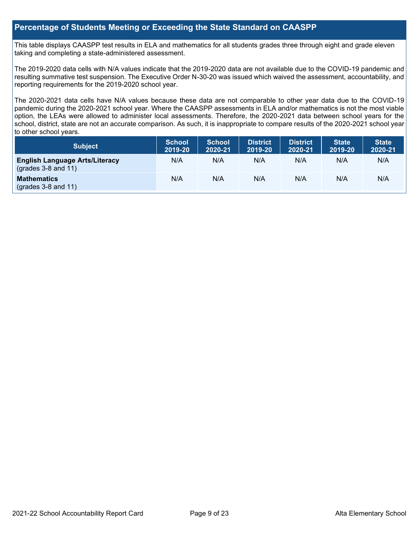### **Percentage of Students Meeting or Exceeding the State Standard on CAASPP**

This table displays CAASPP test results in ELA and mathematics for all students grades three through eight and grade eleven taking and completing a state-administered assessment.

The 2019-2020 data cells with N/A values indicate that the 2019-2020 data are not available due to the COVID-19 pandemic and resulting summative test suspension. The Executive Order N-30-20 was issued which waived the assessment, accountability, and reporting requirements for the 2019-2020 school year.

The 2020-2021 data cells have N/A values because these data are not comparable to other year data due to the COVID-19 pandemic during the 2020-2021 school year. Where the CAASPP assessments in ELA and/or mathematics is not the most viable option, the LEAs were allowed to administer local assessments. Therefore, the 2020-2021 data between school years for the school, district, state are not an accurate comparison. As such, it is inappropriate to compare results of the 2020-2021 school year to other school years.

| <b>Subject</b>                                                       | <b>School</b><br>2019-20 | <b>School</b><br>2020-21 | <b>District</b><br>2019-20 | <b>District</b><br>2020-21 | <b>State</b><br>2019-20 | <b>State</b><br>2020-21 |
|----------------------------------------------------------------------|--------------------------|--------------------------|----------------------------|----------------------------|-------------------------|-------------------------|
| <b>English Language Arts/Literacy</b><br>$\left($ grades 3-8 and 11) | N/A                      | N/A                      | N/A                        | N/A                        | N/A                     | N/A                     |
| <b>Mathematics</b><br>$(grades 3-8 and 11)$                          | N/A                      | N/A                      | N/A                        | N/A                        | N/A                     | N/A                     |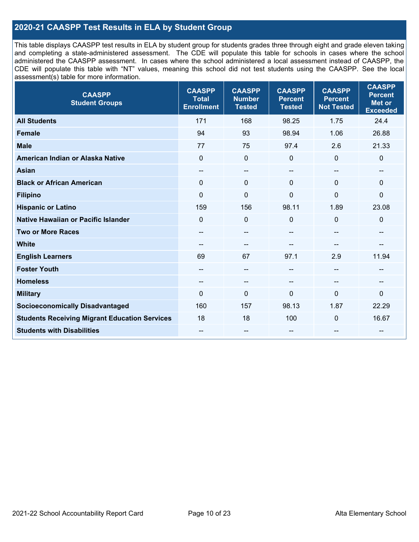### **2020-21 CAASPP Test Results in ELA by Student Group**

This table displays CAASPP test results in ELA by student group for students grades three through eight and grade eleven taking and completing a state-administered assessment. The CDE will populate this table for schools in cases where the school administered the CAASPP assessment. In cases where the school administered a local assessment instead of CAASPP, the CDE will populate this table with "NT" values, meaning this school did not test students using the CAASPP. See the local assessment(s) table for more information.

| <b>CAASPP</b><br><b>Student Groups</b>               | <b>CAASPP</b><br><b>Total</b><br><b>Enrollment</b> | <b>CAASPP</b><br><b>Number</b><br><b>Tested</b> | <b>CAASPP</b><br><b>Percent</b><br><b>Tested</b> | <b>CAASPP</b><br><b>Percent</b><br><b>Not Tested</b> | <b>CAASPP</b><br><b>Percent</b><br>Met or<br><b>Exceeded</b> |
|------------------------------------------------------|----------------------------------------------------|-------------------------------------------------|--------------------------------------------------|------------------------------------------------------|--------------------------------------------------------------|
| <b>All Students</b>                                  | 171                                                | 168                                             | 98.25                                            | 1.75                                                 | 24.4                                                         |
| <b>Female</b>                                        | 94                                                 | 93                                              | 98.94                                            | 1.06                                                 | 26.88                                                        |
| <b>Male</b>                                          | 77                                                 | 75                                              | 97.4                                             | 2.6                                                  | 21.33                                                        |
| American Indian or Alaska Native                     | $\mathbf 0$                                        | $\pmb{0}$                                       | $\mathbf 0$                                      | $\overline{0}$                                       | 0                                                            |
| <b>Asian</b>                                         | $-$                                                | $\overline{\phantom{a}}$                        | --                                               | $\overline{a}$                                       | --                                                           |
| <b>Black or African American</b>                     | $\Omega$                                           | $\mathbf 0$                                     | $\Omega$                                         | $\Omega$                                             | $\Omega$                                                     |
| <b>Filipino</b>                                      | $\Omega$                                           | $\mathbf{0}$                                    | $\mathbf{0}$                                     | $\mathbf{0}$                                         | $\mathbf{0}$                                                 |
| <b>Hispanic or Latino</b>                            | 159                                                | 156                                             | 98.11                                            | 1.89                                                 | 23.08                                                        |
| <b>Native Hawaiian or Pacific Islander</b>           | $\mathbf 0$                                        | $\mathbf 0$                                     | 0                                                | $\mathbf 0$                                          | $\mathbf 0$                                                  |
| <b>Two or More Races</b>                             | --                                                 | $\overline{\phantom{m}}$                        | --                                               | --                                                   | --                                                           |
| <b>White</b>                                         | --                                                 | $\overline{\phantom{m}}$                        | --                                               | $\sim$                                               | --                                                           |
| <b>English Learners</b>                              | 69                                                 | 67                                              | 97.1                                             | 2.9                                                  | 11.94                                                        |
| <b>Foster Youth</b>                                  | $\qquad \qquad -$                                  | $\overline{\phantom{a}}$                        | --                                               | --                                                   | --                                                           |
| <b>Homeless</b>                                      | --                                                 | $\sim$                                          | --                                               | --                                                   |                                                              |
| <b>Military</b>                                      | $\Omega$                                           | $\mathbf 0$                                     | $\Omega$                                         | $\mathbf{0}$                                         | 0                                                            |
| <b>Socioeconomically Disadvantaged</b>               | 160                                                | 157                                             | 98.13                                            | 1.87                                                 | 22.29                                                        |
| <b>Students Receiving Migrant Education Services</b> | 18                                                 | 18                                              | 100                                              | $\mathbf 0$                                          | 16.67                                                        |
| <b>Students with Disabilities</b>                    | $\qquad \qquad -$                                  | $\sim$                                          | --                                               | --                                                   | --                                                           |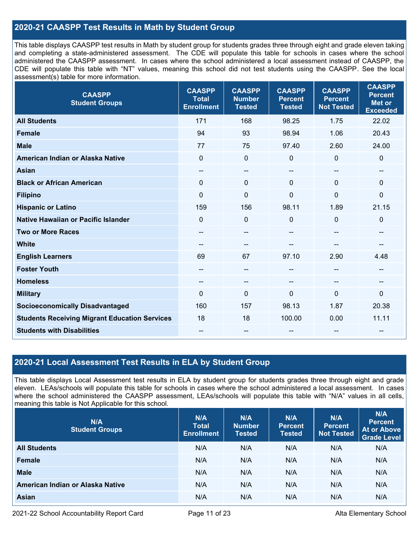### **2020-21 CAASPP Test Results in Math by Student Group**

This table displays CAASPP test results in Math by student group for students grades three through eight and grade eleven taking and completing a state-administered assessment. The CDE will populate this table for schools in cases where the school administered the CAASPP assessment. In cases where the school administered a local assessment instead of CAASPP, the CDE will populate this table with "NT" values, meaning this school did not test students using the CAASPP. See the local assessment(s) table for more information.

| <b>CAASPP</b><br><b>Student Groups</b>               | <b>CAASPP</b><br><b>Total</b><br><b>Enrollment</b> | <b>CAASPP</b><br><b>Number</b><br><b>Tested</b> | <b>CAASPP</b><br><b>Percent</b><br><b>Tested</b> | <b>CAASPP</b><br><b>Percent</b><br><b>Not Tested</b> | <b>CAASPP</b><br><b>Percent</b><br><b>Met or</b><br><b>Exceeded</b> |
|------------------------------------------------------|----------------------------------------------------|-------------------------------------------------|--------------------------------------------------|------------------------------------------------------|---------------------------------------------------------------------|
| <b>All Students</b>                                  | 171                                                | 168                                             | 98.25                                            | 1.75                                                 | 22.02                                                               |
| <b>Female</b>                                        | 94                                                 | 93                                              | 98.94                                            | 1.06                                                 | 20.43                                                               |
| <b>Male</b>                                          | 77                                                 | 75                                              | 97.40                                            | 2.60                                                 | 24.00                                                               |
| American Indian or Alaska Native                     | $\mathbf 0$                                        | $\pmb{0}$                                       | $\mathbf 0$                                      | 0                                                    | $\pmb{0}$                                                           |
| <b>Asian</b>                                         | $\overline{\phantom{a}}$                           | --                                              | --                                               | --                                                   | --                                                                  |
| <b>Black or African American</b>                     | $\mathbf{0}$                                       | $\Omega$                                        | $\mathbf 0$                                      | $\Omega$                                             | $\mathbf 0$                                                         |
| <b>Filipino</b>                                      | $\mathbf 0$                                        | $\mathbf 0$                                     | $\mathbf 0$                                      | $\Omega$                                             | $\mathbf 0$                                                         |
| <b>Hispanic or Latino</b>                            | 159                                                | 156                                             | 98.11                                            | 1.89                                                 | 21.15                                                               |
| <b>Native Hawaiian or Pacific Islander</b>           | $\mathbf 0$                                        | $\mathbf 0$                                     | $\mathbf{0}$                                     | 0                                                    | $\mathbf 0$                                                         |
| <b>Two or More Races</b>                             | --                                                 | --                                              | --                                               | --                                                   | $- -$                                                               |
| <b>White</b>                                         | $\qquad \qquad -$                                  | --                                              | --                                               | --                                                   | --                                                                  |
| <b>English Learners</b>                              | 69                                                 | 67                                              | 97.10                                            | 2.90                                                 | 4.48                                                                |
| <b>Foster Youth</b>                                  | --                                                 | --                                              | --                                               | --                                                   |                                                                     |
| <b>Homeless</b>                                      | $\qquad \qquad -$                                  | $\qquad \qquad -$                               | $\overline{\phantom{a}}$                         | $\overline{\phantom{a}}$                             | $\hspace{0.05cm}$                                                   |
| <b>Military</b>                                      | $\overline{0}$                                     | 0                                               | $\mathbf{0}$                                     | $\overline{0}$                                       | $\mathbf 0$                                                         |
| <b>Socioeconomically Disadvantaged</b>               | 160                                                | 157                                             | 98.13                                            | 1.87                                                 | 20.38                                                               |
| <b>Students Receiving Migrant Education Services</b> | 18                                                 | 18                                              | 100.00                                           | 0.00                                                 | 11.11                                                               |
| <b>Students with Disabilities</b>                    | --                                                 | --                                              |                                                  |                                                      | --                                                                  |

### **2020-21 Local Assessment Test Results in ELA by Student Group**

This table displays Local Assessment test results in ELA by student group for students grades three through eight and grade eleven. LEAs/schools will populate this table for schools in cases where the school administered a local assessment. In cases where the school administered the CAASPP assessment, LEAs/schools will populate this table with "N/A" values in all cells, meaning this table is Not Applicable for this school.

| N/A<br><b>Student Groups</b>     | N/A<br><b>Total</b><br><b>Enrollment</b> | N/A<br><b>Number</b><br><b>Tested</b> | N/A<br><b>Percent</b><br><b>Tested</b> | N/A<br><b>Percent</b><br><b>Not Tested</b> | N/A<br><b>Percent</b><br><b>At or Above</b><br><b>Grade Level</b> |
|----------------------------------|------------------------------------------|---------------------------------------|----------------------------------------|--------------------------------------------|-------------------------------------------------------------------|
| <b>All Students</b>              | N/A                                      | N/A                                   | N/A                                    | N/A                                        | N/A                                                               |
| <b>Female</b>                    | N/A                                      | N/A                                   | N/A                                    | N/A                                        | N/A                                                               |
| <b>Male</b>                      | N/A                                      | N/A                                   | N/A                                    | N/A                                        | N/A                                                               |
| American Indian or Alaska Native | N/A                                      | N/A                                   | N/A                                    | N/A                                        | N/A                                                               |
| <b>Asian</b>                     | N/A                                      | N/A                                   | N/A                                    | N/A                                        | N/A                                                               |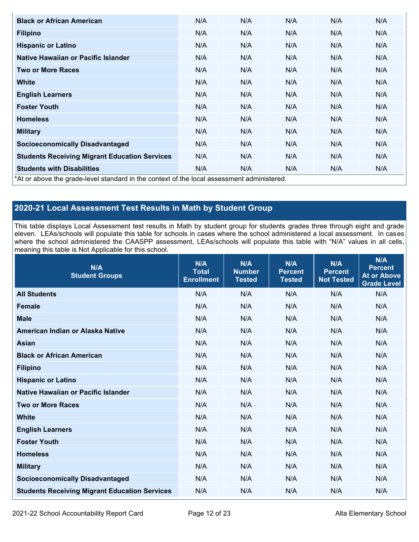| <b>Black or African American</b>                                                          | N/A | N/A | N/A | N/A | N/A |
|-------------------------------------------------------------------------------------------|-----|-----|-----|-----|-----|
| <b>Filipino</b>                                                                           | N/A | N/A | N/A | N/A | N/A |
| <b>Hispanic or Latino</b>                                                                 | N/A | N/A | N/A | N/A | N/A |
| Native Hawaiian or Pacific Islander                                                       | N/A | N/A | N/A | N/A | N/A |
| <b>Two or More Races</b>                                                                  | N/A | N/A | N/A | N/A | N/A |
| White                                                                                     | N/A | N/A | N/A | N/A | N/A |
| <b>English Learners</b>                                                                   | N/A | N/A | N/A | N/A | N/A |
| <b>Foster Youth</b>                                                                       | N/A | N/A | N/A | N/A | N/A |
| <b>Homeless</b>                                                                           | N/A | N/A | N/A | N/A | N/A |
| <b>Military</b>                                                                           | N/A | N/A | N/A | N/A | N/A |
| <b>Socioeconomically Disadvantaged</b>                                                    | N/A | N/A | N/A | N/A | N/A |
| <b>Students Receiving Migrant Education Services</b>                                      | N/A | N/A | N/A | N/A | N/A |
| <b>Students with Disabilities</b>                                                         | N/A | N/A | N/A | N/A | N/A |
| *At or above the grade-level standard in the context of the local assessment administered |     |     |     |     |     |

\*At or above the grade-level standard in the context of the local assessment administered.

## **2020-21 Local Assessment Test Results in Math by Student Group**

This table displays Local Assessment test results in Math by student group for students grades three through eight and grade eleven. LEAs/schools will populate this table for schools in cases where the school administered a local assessment. In cases where the school administered the CAASPP assessment, LEAs/schools will populate this table with "N/A" values in all cells, meaning this table is Not Applicable for this school.

| N/A<br><b>Student Groups</b>                         | N/A<br><b>Total</b><br><b>Enrollment</b> | N/A<br><b>Number</b><br><b>Tested</b> | N/A<br><b>Percent</b><br><b>Tested</b> | N/A<br><b>Percent</b><br><b>Not Tested</b> | N/A<br><b>Percent</b><br><b>At or Above</b><br><b>Grade Level</b> |
|------------------------------------------------------|------------------------------------------|---------------------------------------|----------------------------------------|--------------------------------------------|-------------------------------------------------------------------|
| <b>All Students</b>                                  | N/A                                      | N/A                                   | N/A                                    | N/A                                        | N/A                                                               |
| <b>Female</b>                                        | N/A                                      | N/A                                   | N/A                                    | N/A                                        | N/A                                                               |
| <b>Male</b>                                          | N/A                                      | N/A                                   | N/A                                    | N/A                                        | N/A                                                               |
| American Indian or Alaska Native                     | N/A                                      | N/A                                   | N/A                                    | N/A                                        | N/A                                                               |
| <b>Asian</b>                                         | N/A                                      | N/A                                   | N/A                                    | N/A                                        | N/A                                                               |
| <b>Black or African American</b>                     | N/A                                      | N/A                                   | N/A                                    | N/A                                        | N/A                                                               |
| <b>Filipino</b>                                      | N/A                                      | N/A                                   | N/A                                    | N/A                                        | N/A                                                               |
| <b>Hispanic or Latino</b>                            | N/A                                      | N/A                                   | N/A                                    | N/A                                        | N/A                                                               |
| Native Hawaiian or Pacific Islander                  | N/A                                      | N/A                                   | N/A                                    | N/A                                        | N/A                                                               |
| <b>Two or More Races</b>                             | N/A                                      | N/A                                   | N/A                                    | N/A                                        | N/A                                                               |
| <b>White</b>                                         | N/A                                      | N/A                                   | N/A                                    | N/A                                        | N/A                                                               |
| <b>English Learners</b>                              | N/A                                      | N/A                                   | N/A                                    | N/A                                        | N/A                                                               |
| <b>Foster Youth</b>                                  | N/A                                      | N/A                                   | N/A                                    | N/A                                        | N/A                                                               |
| <b>Homeless</b>                                      | N/A                                      | N/A                                   | N/A                                    | N/A                                        | N/A                                                               |
| <b>Military</b>                                      | N/A                                      | N/A                                   | N/A                                    | N/A                                        | N/A                                                               |
| <b>Socioeconomically Disadvantaged</b>               | N/A                                      | N/A                                   | N/A                                    | N/A                                        | N/A                                                               |
| <b>Students Receiving Migrant Education Services</b> | N/A                                      | N/A                                   | N/A                                    | N/A                                        | N/A                                                               |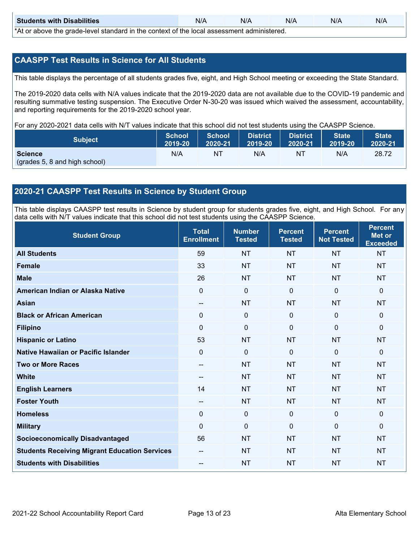| <b>Students with Disabilities</b>                                                           | N/A | N/A | N/A | N/A | N/A |  |
|---------------------------------------------------------------------------------------------|-----|-----|-----|-----|-----|--|
| *At as above the escale level standard in the context of the local accordinate admissioned. |     |     |     |     |     |  |

\*At or above the grade-level standard in the context of the local assessment administered.

### **CAASPP Test Results in Science for All Students**

This table displays the percentage of all students grades five, eight, and High School meeting or exceeding the State Standard.

The 2019-2020 data cells with N/A values indicate that the 2019-2020 data are not available due to the COVID-19 pandemic and resulting summative testing suspension. The Executive Order N-30-20 was issued which waived the assessment, accountability, and reporting requirements for the 2019-2020 school year.

For any 2020-2021 data cells with N/T values indicate that this school did not test students using the CAASPP Science.

| <b>Subject</b>                | <b>School</b><br>2019-20 | <b>School</b><br>2020-21 | <b>District</b><br>12019-20 | District<br>2020-21 | <b>State</b><br>2019-20 | <b>State</b><br>2020-21 |
|-------------------------------|--------------------------|--------------------------|-----------------------------|---------------------|-------------------------|-------------------------|
| <b>Science</b>                | N/A                      | NT                       | N/A                         | NT                  | N/A                     | 28.72                   |
| (grades 5, 8 and high school) |                          |                          |                             |                     |                         |                         |

### **2020-21 CAASPP Test Results in Science by Student Group**

This table displays CAASPP test results in Science by student group for students grades five, eight, and High School. For any data cells with N/T values indicate that this school did not test students using the CAASPP Science.

| <b>Student Group</b>                                 | <b>Total</b><br><b>Enrollment</b> | <b>Number</b><br><b>Tested</b> | <b>Percent</b><br><b>Tested</b> | <b>Percent</b><br><b>Not Tested</b> | <b>Percent</b><br><b>Met or</b><br><b>Exceeded</b> |
|------------------------------------------------------|-----------------------------------|--------------------------------|---------------------------------|-------------------------------------|----------------------------------------------------|
| <b>All Students</b>                                  | 59                                | <b>NT</b>                      | <b>NT</b>                       | <b>NT</b>                           | <b>NT</b>                                          |
| <b>Female</b>                                        | 33                                | <b>NT</b>                      | <b>NT</b>                       | <b>NT</b>                           | <b>NT</b>                                          |
| <b>Male</b>                                          | 26                                | <b>NT</b>                      | <b>NT</b>                       | <b>NT</b>                           | <b>NT</b>                                          |
| American Indian or Alaska Native                     | $\mathbf 0$                       | $\mathbf 0$                    | $\mathbf 0$                     | $\mathbf 0$                         | $\mathbf{0}$                                       |
| <b>Asian</b>                                         | $\overline{\phantom{a}}$          | <b>NT</b>                      | <b>NT</b>                       | <b>NT</b>                           | <b>NT</b>                                          |
| <b>Black or African American</b>                     | 0                                 | $\mathbf 0$                    | $\mathbf 0$                     | $\mathbf 0$                         | $\mathbf 0$                                        |
| <b>Filipino</b>                                      | $\Omega$                          | $\mathbf 0$                    | $\mathbf{0}$                    | $\Omega$                            | $\mathbf 0$                                        |
| <b>Hispanic or Latino</b>                            | 53                                | <b>NT</b>                      | <b>NT</b>                       | <b>NT</b>                           | <b>NT</b>                                          |
| Native Hawaiian or Pacific Islander                  | $\mathbf 0$                       | $\mathbf 0$                    | $\mathbf{0}$                    | $\mathbf 0$                         | $\mathbf{0}$                                       |
| <b>Two or More Races</b>                             | --                                | <b>NT</b>                      | <b>NT</b>                       | <b>NT</b>                           | <b>NT</b>                                          |
| <b>White</b>                                         | $\sim$                            | <b>NT</b>                      | <b>NT</b>                       | <b>NT</b>                           | <b>NT</b>                                          |
| <b>English Learners</b>                              | 14                                | <b>NT</b>                      | <b>NT</b>                       | <b>NT</b>                           | <b>NT</b>                                          |
| <b>Foster Youth</b>                                  | $-$                               | <b>NT</b>                      | <b>NT</b>                       | <b>NT</b>                           | <b>NT</b>                                          |
| <b>Homeless</b>                                      | 0                                 | $\mathbf{0}$                   | $\mathbf 0$                     | $\mathbf 0$                         | $\mathbf 0$                                        |
| <b>Military</b>                                      | $\Omega$                          | $\mathbf 0$                    | $\mathbf{0}$                    | $\mathbf{0}$                        | $\mathbf{0}$                                       |
| <b>Socioeconomically Disadvantaged</b>               | 56                                | <b>NT</b>                      | <b>NT</b>                       | <b>NT</b>                           | <b>NT</b>                                          |
| <b>Students Receiving Migrant Education Services</b> | --                                | <b>NT</b>                      | <b>NT</b>                       | <b>NT</b>                           | <b>NT</b>                                          |
| <b>Students with Disabilities</b>                    | $\qquad \qquad -$                 | <b>NT</b>                      | <b>NT</b>                       | <b>NT</b>                           | <b>NT</b>                                          |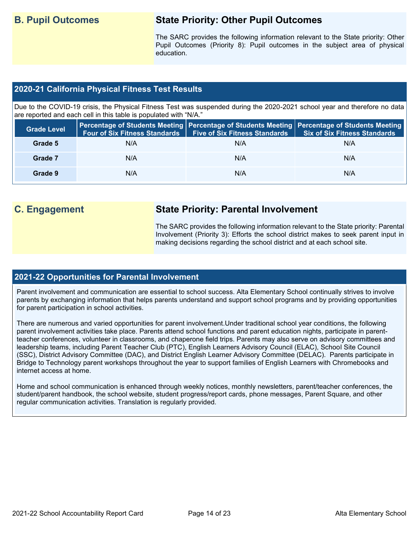# **B. Pupil Outcomes State Priority: Other Pupil Outcomes**

The SARC provides the following information relevant to the State priority: Other Pupil Outcomes (Priority 8): Pupil outcomes in the subject area of physical education.

### **2020-21 California Physical Fitness Test Results**

Due to the COVID-19 crisis, the Physical Fitness Test was suspended during the 2020-2021 school year and therefore no data are reported and each cell in this table is populated with "N/A."

| <b>Grade Level</b> | <b>Four of Six Fitness Standards</b> | <b>Five of Six Fitness Standards</b> | Percentage of Students Meeting   Percentage of Students Meeting   Percentage of Students Meeting  <br><b>Six of Six Fitness Standards</b> |
|--------------------|--------------------------------------|--------------------------------------|-------------------------------------------------------------------------------------------------------------------------------------------|
| Grade 5            | N/A                                  | N/A                                  | N/A                                                                                                                                       |
| Grade 7            | N/A                                  | N/A                                  | N/A                                                                                                                                       |
| Grade 9            | N/A                                  | N/A                                  | N/A                                                                                                                                       |

# **C. Engagement State Priority: Parental Involvement**

The SARC provides the following information relevant to the State priority: Parental Involvement (Priority 3): Efforts the school district makes to seek parent input in making decisions regarding the school district and at each school site.

### **2021-22 Opportunities for Parental Involvement**

Parent involvement and communication are essential to school success. Alta Elementary School continually strives to involve parents by exchanging information that helps parents understand and support school programs and by providing opportunities for parent participation in school activities.

There are numerous and varied opportunities for parent involvement.Under traditional school year conditions, the following parent involvement activities take place. Parents attend school functions and parent education nights, participate in parentteacher conferences, volunteer in classrooms, and chaperone field trips. Parents may also serve on advisory committees and leadership teams, including Parent Teacher Club (PTC), English Learners Advisory Council (ELAC), School Site Council (SSC), District Advisory Committee (DAC), and District English Learner Advisory Committee (DELAC). Parents participate in Bridge to Technology parent workshops throughout the year to support families of English Learners with Chromebooks and internet access at home.

Home and school communication is enhanced through weekly notices, monthly newsletters, parent/teacher conferences, the student/parent handbook, the school website, student progress/report cards, phone messages, Parent Square, and other regular communication activities. Translation is regularly provided.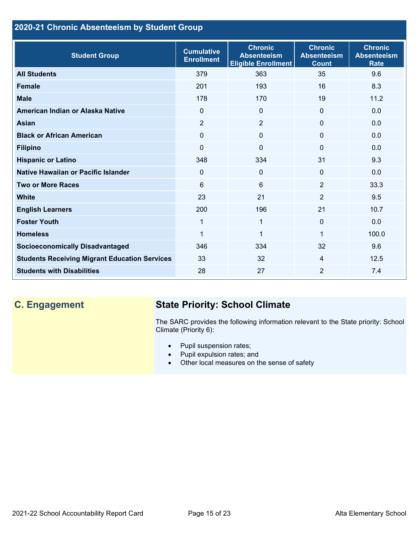## **2020-21 Chronic Absenteeism by Student Group**

| <b>Student Group</b>                                 | <b>Cumulative</b><br><b>Enrollment</b> | <b>Chronic</b><br><b>Absenteeism</b><br><b>Eligible Enrollment</b> | <b>Chronic</b><br><b>Absenteeism</b><br><b>Count</b> | <b>Chronic</b><br><b>Absenteeism</b><br><b>Rate</b> |
|------------------------------------------------------|----------------------------------------|--------------------------------------------------------------------|------------------------------------------------------|-----------------------------------------------------|
| <b>All Students</b>                                  | 379                                    | 363                                                                | 35                                                   | 9.6                                                 |
| <b>Female</b>                                        | 201                                    | 193                                                                | 16                                                   | 8.3                                                 |
| <b>Male</b>                                          | 178                                    | 170                                                                | 19                                                   | 11.2                                                |
| American Indian or Alaska Native                     | $\Omega$                               | $\mathbf{0}$                                                       | $\mathbf{0}$                                         | 0.0                                                 |
| <b>Asian</b>                                         | 2                                      | $\overline{2}$                                                     | $\mathbf{0}$                                         | 0.0                                                 |
| <b>Black or African American</b>                     | 0                                      | $\mathbf{0}$                                                       | $\mathbf{0}$                                         | 0.0                                                 |
| <b>Filipino</b>                                      | $\Omega$                               | $\Omega$                                                           | $\mathbf{0}$                                         | 0.0                                                 |
| <b>Hispanic or Latino</b>                            | 348                                    | 334                                                                | 31                                                   | 9.3                                                 |
| <b>Native Hawaiian or Pacific Islander</b>           | $\Omega$                               | 0                                                                  | $\mathbf{0}$                                         | 0.0                                                 |
| <b>Two or More Races</b>                             | 6                                      | 6                                                                  | 2                                                    | 33.3                                                |
| <b>White</b>                                         | 23                                     | 21                                                                 | $\overline{2}$                                       | 9.5                                                 |
| <b>English Learners</b>                              | 200                                    | 196                                                                | 21                                                   | 10.7                                                |
| <b>Foster Youth</b>                                  | $\mathbf{1}$                           | $\mathbf 1$                                                        | $\mathbf{0}$                                         | 0.0                                                 |
| <b>Homeless</b>                                      | 1                                      | 1                                                                  | 1                                                    | 100.0                                               |
| <b>Socioeconomically Disadvantaged</b>               | 346                                    | 334                                                                | 32                                                   | 9.6                                                 |
| <b>Students Receiving Migrant Education Services</b> | 33                                     | 32                                                                 | 4                                                    | 12.5                                                |
| <b>Students with Disabilities</b>                    | 28                                     | 27                                                                 | $\overline{2}$                                       | 7.4                                                 |

# **C. Engagement State Priority: School Climate**

The SARC provides the following information relevant to the State priority: School Climate (Priority 6):

- Pupil suspension rates;
- Pupil expulsion rates; and
- Other local measures on the sense of safety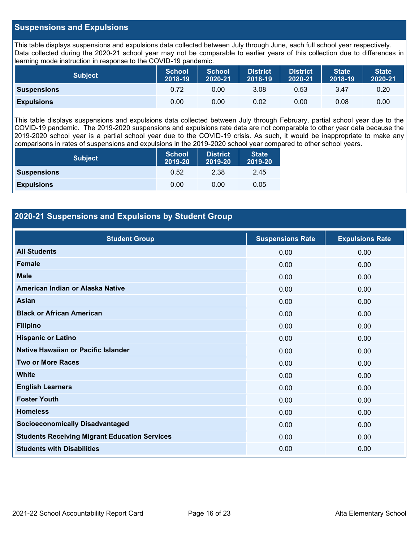### **Suspensions and Expulsions**

This table displays suspensions and expulsions data collected between July through June, each full school year respectively. Data collected during the 2020-21 school year may not be comparable to earlier years of this collection due to differences in learning mode instruction in response to the COVID-19 pandemic.

| <b>Subject</b>     | <b>School</b><br>2018-19 | <b>School</b><br>2020-21 | <b>District</b><br>2018-19 | <b>District</b><br>2020-21 | <b>State</b><br>2018-19 | <b>State</b><br>2020-21 |
|--------------------|--------------------------|--------------------------|----------------------------|----------------------------|-------------------------|-------------------------|
| <b>Suspensions</b> | 0.72                     | 0.00                     | 3.08                       | 0.53                       | 3.47                    | 0.20                    |
| <b>Expulsions</b>  | 0.00                     | 0.00                     | 0.02                       | 0.00                       | 0.08                    | 0.00                    |

This table displays suspensions and expulsions data collected between July through February, partial school year due to the COVID-19 pandemic. The 2019-2020 suspensions and expulsions rate data are not comparable to other year data because the 2019-2020 school year is a partial school year due to the COVID-19 crisis. As such, it would be inappropriate to make any comparisons in rates of suspensions and expulsions in the 2019-2020 school year compared to other school years.

| <b>Subject</b>     | <b>School</b><br>2019-20 | <b>District</b><br>2019-20 | <b>State</b><br>2019-20 |
|--------------------|--------------------------|----------------------------|-------------------------|
| <b>Suspensions</b> | 0.52                     | 2.38                       | 2.45                    |
| <b>Expulsions</b>  | 0.00                     | 0.00                       | 0.05                    |

### **2020-21 Suspensions and Expulsions by Student Group**

| <b>Student Group</b>                                 | <b>Suspensions Rate</b> | <b>Expulsions Rate</b> |
|------------------------------------------------------|-------------------------|------------------------|
| <b>All Students</b>                                  | 0.00                    | 0.00                   |
| <b>Female</b>                                        | 0.00                    | 0.00                   |
| <b>Male</b>                                          | 0.00                    | 0.00                   |
| American Indian or Alaska Native                     | 0.00                    | 0.00                   |
| <b>Asian</b>                                         | 0.00                    | 0.00                   |
| <b>Black or African American</b>                     | 0.00                    | 0.00                   |
| <b>Filipino</b>                                      | 0.00                    | 0.00                   |
| <b>Hispanic or Latino</b>                            | 0.00                    | 0.00                   |
| Native Hawaiian or Pacific Islander                  | 0.00                    | 0.00                   |
| <b>Two or More Races</b>                             | 0.00                    | 0.00                   |
| <b>White</b>                                         | 0.00                    | 0.00                   |
| <b>English Learners</b>                              | 0.00                    | 0.00                   |
| <b>Foster Youth</b>                                  | 0.00                    | 0.00                   |
| <b>Homeless</b>                                      | 0.00                    | 0.00                   |
| <b>Socioeconomically Disadvantaged</b>               | 0.00                    | 0.00                   |
| <b>Students Receiving Migrant Education Services</b> | 0.00                    | 0.00                   |
| <b>Students with Disabilities</b>                    | 0.00                    | 0.00                   |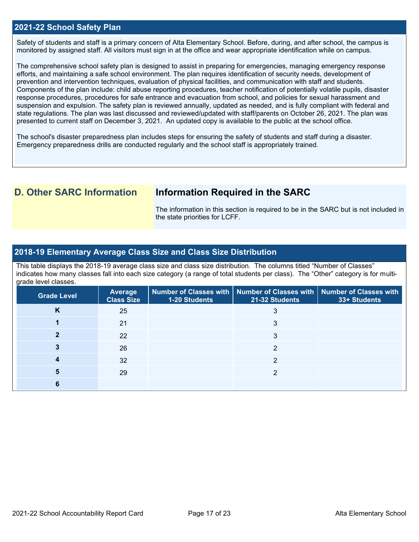### **2021-22 School Safety Plan**

Safety of students and staff is a primary concern of Alta Elementary School. Before, during, and after school, the campus is monitored by assigned staff. All visitors must sign in at the office and wear appropriate identification while on campus.

The comprehensive school safety plan is designed to assist in preparing for emergencies, managing emergency response efforts, and maintaining a safe school environment. The plan requires identification of security needs, development of prevention and intervention techniques, evaluation of physical facilities, and communication with staff and students. Components of the plan include: child abuse reporting procedures, teacher notification of potentially volatile pupils, disaster response procedures, procedures for safe entrance and evacuation from school, and policies for sexual harassment and suspension and expulsion. The safety plan is reviewed annually, updated as needed, and is fully compliant with federal and state regulations. The plan was last discussed and reviewed/updated with staff/parents on October 26, 2021. The plan was presented to current staff on December 3, 2021. An updated copy is available to the public at the school office.

The school's disaster preparedness plan includes steps for ensuring the safety of students and staff during a disaster. Emergency preparedness drills are conducted regularly and the school staff is appropriately trained.

## **D. Other SARC Information Information Required in the SARC**

The information in this section is required to be in the SARC but is not included in the state priorities for LCFF.

### **2018-19 Elementary Average Class Size and Class Size Distribution**

This table displays the 2018-19 average class size and class size distribution. The columns titled "Number of Classes" indicates how many classes fall into each size category (a range of total students per class). The "Other" category is for multigrade level classes.

| <b>Grade Level</b> | <b>Average</b><br><b>Class Size</b> | <b>1-20 Students</b> | Number of Classes with   Number of Classes with   Number of Classes with<br>21-32 Students | 33+ Students |
|--------------------|-------------------------------------|----------------------|--------------------------------------------------------------------------------------------|--------------|
| Κ                  | 25                                  |                      | 3                                                                                          |              |
|                    | 21                                  |                      | 3                                                                                          |              |
|                    | 22                                  |                      | 3                                                                                          |              |
|                    | 26                                  |                      | ◠                                                                                          |              |
|                    | 32                                  |                      | っ                                                                                          |              |
|                    | 29                                  |                      | ◠                                                                                          |              |
|                    |                                     |                      |                                                                                            |              |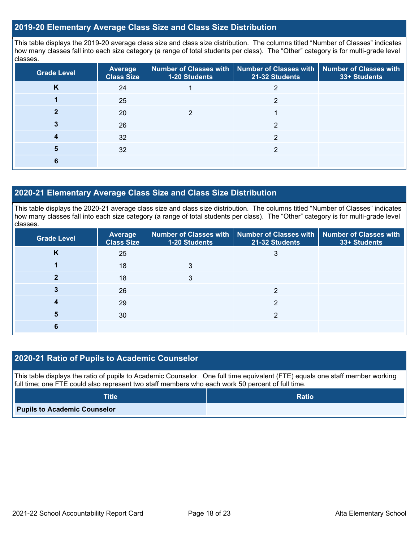### **2019-20 Elementary Average Class Size and Class Size Distribution**

This table displays the 2019-20 average class size and class size distribution. The columns titled "Number of Classes" indicates how many classes fall into each size category (a range of total students per class). The "Other" category is for multi-grade level classes.

| <b>Grade Level</b> | <b>Average</b><br><b>Class Size</b> | 1-20 Students | Number of Classes with   Number of Classes with   Number of Classes with<br>21-32 Students | 33+ Students |
|--------------------|-------------------------------------|---------------|--------------------------------------------------------------------------------------------|--------------|
| v<br>ĸ             | 24                                  |               | 2                                                                                          |              |
|                    | 25                                  |               | ◠                                                                                          |              |
|                    | 20                                  |               |                                                                                            |              |
|                    | 26                                  |               | っ                                                                                          |              |
|                    | 32                                  |               | ◠                                                                                          |              |
| 5                  | 32                                  |               | າ                                                                                          |              |
| 6                  |                                     |               |                                                                                            |              |

### **2020-21 Elementary Average Class Size and Class Size Distribution**

This table displays the 2020-21 average class size and class size distribution. The columns titled "Number of Classes" indicates how many classes fall into each size category (a range of total students per class). The "Other" category is for multi-grade level classes.

| <b>Grade Level</b> | <b>Average</b><br><b>Class Size</b> | 1-20 Students | Number of Classes with   Number of Classes with   Number of Classes with<br>21-32 Students | 33+ Students |
|--------------------|-------------------------------------|---------------|--------------------------------------------------------------------------------------------|--------------|
| K                  | 25                                  |               | 3                                                                                          |              |
|                    | 18                                  | 3             |                                                                                            |              |
|                    | 18                                  | 3             |                                                                                            |              |
|                    | 26                                  |               | ◠                                                                                          |              |
|                    | 29                                  |               | ◠                                                                                          |              |
| 5                  | 30                                  |               | っ                                                                                          |              |
|                    |                                     |               |                                                                                            |              |

### **2020-21 Ratio of Pupils to Academic Counselor**

This table displays the ratio of pupils to Academic Counselor. One full time equivalent (FTE) equals one staff member working full time; one FTE could also represent two staff members who each work 50 percent of full time.

| <b>Title</b>                        | <b>Ratio</b> |
|-------------------------------------|--------------|
| <b>Pupils to Academic Counselor</b> |              |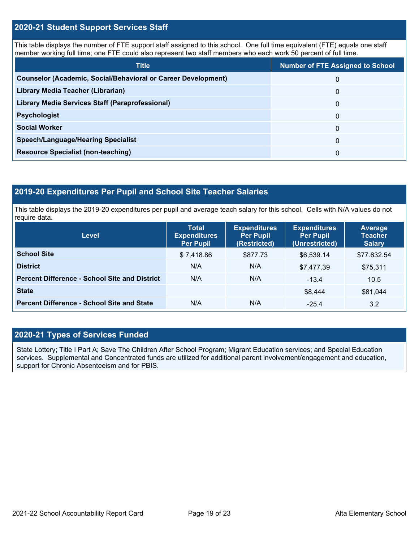### **2020-21 Student Support Services Staff**

This table displays the number of FTE support staff assigned to this school. One full time equivalent (FTE) equals one staff member working full time; one FTE could also represent two staff members who each work 50 percent of full time.

| <b>Title</b>                                                         | <b>Number of FTE Assigned to School</b> |
|----------------------------------------------------------------------|-----------------------------------------|
| <b>Counselor (Academic, Social/Behavioral or Career Development)</b> | 0                                       |
| Library Media Teacher (Librarian)                                    | 0                                       |
| Library Media Services Staff (Paraprofessional)                      | 0                                       |
| <b>Psychologist</b>                                                  | 0                                       |
| <b>Social Worker</b>                                                 | $\Omega$                                |
| <b>Speech/Language/Hearing Specialist</b>                            | 0                                       |
| <b>Resource Specialist (non-teaching)</b>                            | 0                                       |

### **2019-20 Expenditures Per Pupil and School Site Teacher Salaries**

This table displays the 2019-20 expenditures per pupil and average teach salary for this school. Cells with N/A values do not require data.

| Level                                                | <b>Expenditures</b><br><b>Total</b><br><b>Per Pupil</b><br><b>Expenditures</b><br>(Restricted)<br><b>Per Pupil</b> |          | <b>Expenditures</b><br><b>Per Pupil</b><br>(Unrestricted) | <b>Average</b><br><b>Teacher</b><br><b>Salary</b> |  |
|------------------------------------------------------|--------------------------------------------------------------------------------------------------------------------|----------|-----------------------------------------------------------|---------------------------------------------------|--|
| <b>School Site</b>                                   | \$7,418.86                                                                                                         | \$877.73 | \$6.539.14                                                | \$77.632.54                                       |  |
| <b>District</b>                                      | N/A                                                                                                                | N/A      | \$7,477.39                                                | \$75,311                                          |  |
| <b>Percent Difference - School Site and District</b> | N/A                                                                                                                | N/A      | $-13.4$                                                   | 10.5                                              |  |
| <b>State</b>                                         |                                                                                                                    |          | \$8,444                                                   | \$81,044                                          |  |
| <b>Percent Difference - School Site and State</b>    | N/A                                                                                                                | N/A      | $-25.4$                                                   | 3.2                                               |  |

### **2020-21 Types of Services Funded**

State Lottery; Title I Part A; Save The Children After School Program; Migrant Education services; and Special Education services. Supplemental and Concentrated funds are utilized for additional parent involvement/engagement and education, support for Chronic Absenteeism and for PBIS.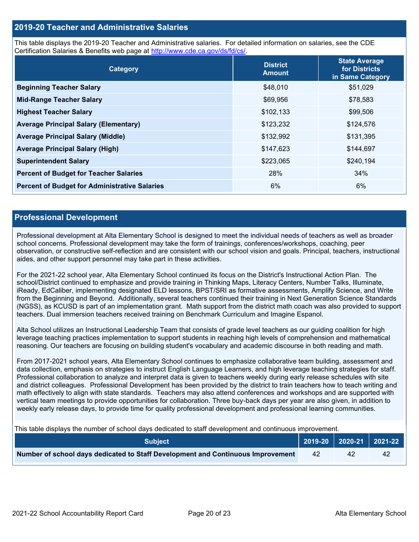### **2019-20 Teacher and Administrative Salaries**

This table displays the 2019-20 Teacher and Administrative salaries. For detailed information on salaries, see the CDE Certification Salaries & Benefits web page at [http://www.cde.ca.gov/ds/fd/cs/.](http://www.cde.ca.gov/ds/fd/cs/)

| Category                                             | <b>District</b><br><b>Amount</b> | <b>State Average</b><br>for Districts<br>in Same Category |
|------------------------------------------------------|----------------------------------|-----------------------------------------------------------|
| <b>Beginning Teacher Salary</b>                      | \$48,010                         | \$51,029                                                  |
| <b>Mid-Range Teacher Salary</b>                      | \$69,956                         | \$78,583                                                  |
| <b>Highest Teacher Salary</b>                        | \$102,133                        | \$99,506                                                  |
| <b>Average Principal Salary (Elementary)</b>         | \$123,232                        | \$124,576                                                 |
| <b>Average Principal Salary (Middle)</b>             | \$132,992                        | \$131,395                                                 |
| <b>Average Principal Salary (High)</b>               | \$147,623                        | \$144,697                                                 |
| <b>Superintendent Salary</b>                         | \$223,065                        | \$240,194                                                 |
| <b>Percent of Budget for Teacher Salaries</b>        | 28%                              | 34%                                                       |
| <b>Percent of Budget for Administrative Salaries</b> | 6%                               | 6%                                                        |

### **Professional Development**

Professional development at Alta Elementary School is designed to meet the individual needs of teachers as well as broader school concerns. Professional development may take the form of trainings, conferences/workshops, coaching, peer observation, or constructive self-reflection and are consistent with our school vision and goals. Principal, teachers, instructional aides, and other support personnel may take part in these activities.

For the 2021-22 school year, Alta Elementary School continued its focus on the District's Instructional Action Plan. The school/District continued to emphasize and provide training in Thinking Maps, Literacy Centers, Number Talks, Illuminate, iReady, EdCaliber, implementing designated ELD lessons, BPST/SRI as formative assessments, Amplify Science, and Write from the Beginning and Beyond. Additionally, several teachers continued their training in Next Generation Science Standards (NGSS), as KCUSD is part of an implementation grant. Math support from the district math coach was also provided to support teachers. Dual immersion teachers received training on Benchmark Curriculum and Imagine Espanol.

Alta School utilizes an Instructional Leadership Team that consists of grade level teachers as our guiding coalition for high leverage teaching practices implementation to support students in reaching high levels of comprehension and mathematical reasoning. Our teachers are focusing on building student's vocabulary and academic discourse in both reading and math.

From 2017-2021 school years, Alta Elementary School continues to emphasize collaborative team building, assessment and data collection, emphasis on strategies to instruct English Language Learners, and high leverage teaching strategies for staff. Professional collaboration to analyze and interpret data is given to teachers weekly during early release schedules with site and district colleagues. Professional Development has been provided by the district to train teachers how to teach writing and math effectively to align with state standards. Teachers may also attend conferences and workshops and are supported with vertical team meetings to provide opportunities for collaboration. Three buy-back days per year are also given, in addition to weekly early release days, to provide time for quality professional development and professional learning communities.

This table displays the number of school days dedicated to staff development and continuous improvement.

| <b>Subiect</b> \                                                                |    |    |  |
|---------------------------------------------------------------------------------|----|----|--|
| Number of school days dedicated to Staff Development and Continuous Improvement | 42 | 42 |  |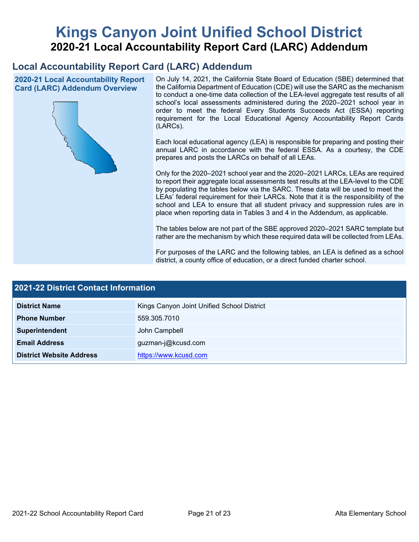# **Kings Canyon Joint Unified School District 2020-21 Local Accountability Report Card (LARC) Addendum**

# **Local Accountability Report Card (LARC) Addendum**

**2020-21 Local Accountability Report Card (LARC) Addendum Overview**



On July 14, 2021, the California State Board of Education (SBE) determined that the California Department of Education (CDE) will use the SARC as the mechanism to conduct a one-time data collection of the LEA-level aggregate test results of all school's local assessments administered during the 2020–2021 school year in order to meet the federal Every Students Succeeds Act (ESSA) reporting requirement for the Local Educational Agency Accountability Report Cards (LARCs).

Each local educational agency (LEA) is responsible for preparing and posting their annual LARC in accordance with the federal ESSA. As a courtesy, the CDE prepares and posts the LARCs on behalf of all LEAs.

Only for the 2020–2021 school year and the 2020–2021 LARCs, LEAs are required to report their aggregate local assessments test results at the LEA-level to the CDE by populating the tables below via the SARC. These data will be used to meet the LEAs' federal requirement for their LARCs. Note that it is the responsibility of the school and LEA to ensure that all student privacy and suppression rules are in place when reporting data in Tables 3 and 4 in the Addendum, as applicable.

The tables below are not part of the SBE approved 2020–2021 SARC template but rather are the mechanism by which these required data will be collected from LEAs.

For purposes of the LARC and the following tables, an LEA is defined as a school district, a county office of education, or a direct funded charter school.

| <b>2021-22 District Contact Information</b> |                                            |  |  |  |
|---------------------------------------------|--------------------------------------------|--|--|--|
| <b>District Name</b>                        | Kings Canyon Joint Unified School District |  |  |  |
| <b>Phone Number</b>                         | 559.305.7010                               |  |  |  |
| Superintendent                              | John Campbell                              |  |  |  |
| <b>Email Address</b>                        | guzman-j@kcusd.com                         |  |  |  |
| <b>District Website Address</b>             | https://www.kcusd.com                      |  |  |  |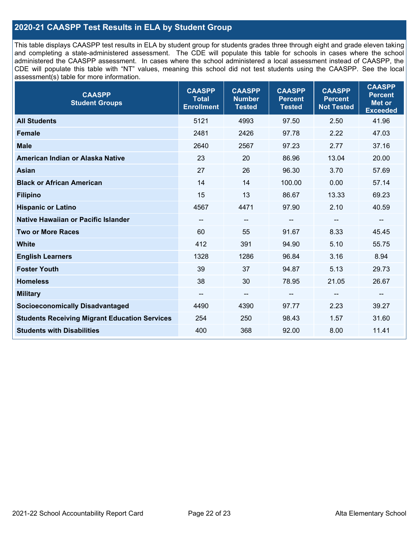### **2020-21 CAASPP Test Results in ELA by Student Group**

This table displays CAASPP test results in ELA by student group for students grades three through eight and grade eleven taking and completing a state-administered assessment. The CDE will populate this table for schools in cases where the school administered the CAASPP assessment. In cases where the school administered a local assessment instead of CAASPP, the CDE will populate this table with "NT" values, meaning this school did not test students using the CAASPP. See the local assessment(s) table for more information.

| <b>CAASPP</b><br><b>Student Groups</b>               | <b>CAASPP</b><br><b>Total</b><br><b>Enrollment</b> | <b>CAASPP</b><br><b>Number</b><br><b>Tested</b> | <b>CAASPP</b><br><b>Percent</b><br><b>Tested</b> | <b>CAASPP</b><br><b>Percent</b><br><b>Not Tested</b> | <b>CAASPP</b><br><b>Percent</b><br>Met or<br><b>Exceeded</b> |
|------------------------------------------------------|----------------------------------------------------|-------------------------------------------------|--------------------------------------------------|------------------------------------------------------|--------------------------------------------------------------|
| <b>All Students</b>                                  | 5121                                               | 4993                                            | 97.50                                            | 2.50                                                 | 41.96                                                        |
| <b>Female</b>                                        | 2481                                               | 2426                                            | 97.78                                            | 2.22                                                 | 47.03                                                        |
| <b>Male</b>                                          | 2640                                               | 2567                                            | 97.23                                            | 2.77                                                 | 37.16                                                        |
| American Indian or Alaska Native                     | 23                                                 | 20                                              | 86.96                                            | 13.04                                                | 20.00                                                        |
| <b>Asian</b>                                         | 27                                                 | 26                                              | 96.30                                            | 3.70                                                 | 57.69                                                        |
| <b>Black or African American</b>                     | 14                                                 | 14                                              | 100.00                                           | 0.00                                                 | 57.14                                                        |
| <b>Filipino</b>                                      | 15                                                 | 13                                              | 86.67                                            | 13.33                                                | 69.23                                                        |
| <b>Hispanic or Latino</b>                            | 4567                                               | 4471                                            | 97.90                                            | 2.10                                                 | 40.59                                                        |
| Native Hawaiian or Pacific Islander                  | $\overline{\phantom{a}}$                           | $\overline{\phantom{a}}$                        | --                                               | $\overline{\phantom{m}}$                             | $\overline{\phantom{a}}$                                     |
| <b>Two or More Races</b>                             | 60                                                 | 55                                              | 91.67                                            | 8.33                                                 | 45.45                                                        |
| <b>White</b>                                         | 412                                                | 391                                             | 94.90                                            | 5.10                                                 | 55.75                                                        |
| <b>English Learners</b>                              | 1328                                               | 1286                                            | 96.84                                            | 3.16                                                 | 8.94                                                         |
| <b>Foster Youth</b>                                  | 39                                                 | 37                                              | 94.87                                            | 5.13                                                 | 29.73                                                        |
| <b>Homeless</b>                                      | 38                                                 | 30                                              | 78.95                                            | 21.05                                                | 26.67                                                        |
| <b>Military</b>                                      | --                                                 | $\qquad \qquad -$                               | --                                               | --                                                   | --                                                           |
| <b>Socioeconomically Disadvantaged</b>               | 4490                                               | 4390                                            | 97.77                                            | 2.23                                                 | 39.27                                                        |
| <b>Students Receiving Migrant Education Services</b> | 254                                                | 250                                             | 98.43                                            | 1.57                                                 | 31.60                                                        |
| <b>Students with Disabilities</b>                    | 400                                                | 368                                             | 92.00                                            | 8.00                                                 | 11.41                                                        |